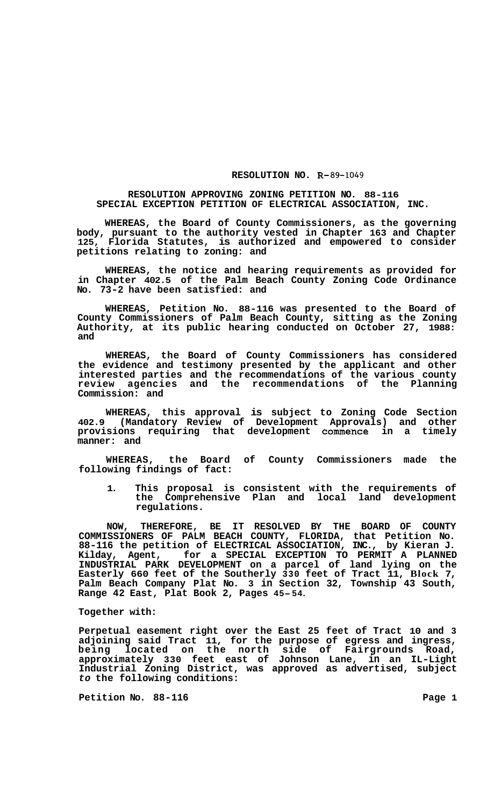## **RESOLUTION NO. R-** *89-1049*

## **RESOLUTION APPROVING ZONING PETITION NO. 88-116 SPECIAL EXCEPTION PETITION OF ELECTRICAL ASSOCIATION, INC.**

**WHEREAS, the Board of County Commissioners, as the governing body, pursuant to the authority vested in Chapter 163 and Chapter 125, Florida Statutes, is authorized and empowered to consider petitions relating to zoning: and** 

**WHEREAS, the notice and hearing requirements as provided for in Chapter 402.5 of the Palm Beach County Zoning Code Ordinance No. 73-2 have been satisfied: and** 

**WHEREAS, Petition No. 88-116 was presented to the Board of County Commissioners of Palm Beach County, sitting as the Zoning Authority, at its public hearing conducted on October 27, 1988: and** 

**WHEREAS, the Board of County Commissioners has considered the evidence and testimony presented by the applicant and other interested parties and the recommendations of the various county review agencies and the recommendations of the Planning Commission: and** 

**WHEREAS, this approval is subject to Zoning Code Section 402.9 (Mandatory Review of Development Approvals) and other provisions requiring that development commence in a timely manner: and** 

**WHEREAS, the Board of County Commissioners made the following findings of fact:** 

**1. This proposal is consistent with the requirements of the Comprehensive Plan and local land development regulations.** 

**NOW, THEREFORE, BE IT RESOLVED BY THE BOARD OF COUNTY COMMISSIONERS OF PALM BEACH COUNTY, FLORIDA, that Petition No. 88-116 the petition of ELECTRICAL ASSOCIATION, INC., by Kieran J. Kilday, Agent, for a SPECIAL EXCEPTION TO PERMIT A PLANNED INDUSTRIAL PARK DEVELOPMENT on a parcel of land lying on the Easterly 660 feet of the Southerly 330 feet of Tract 11, Block 7, Palm Beach Company Plat No. 3 in Section 32, Township 43 South, Range 42 East, Plat Book 2, Pages 45-54.** 

## **Together with:**

**Perpetual easement right over the East 25 feet of Tract 10 and 3 adjoining said Tract 11, for the purpose of egress and ingress, being located on the north side of Fairgrounds Road, approximately 330 feet east of Johnson Lane, in an IL-Light Industrial Zoning District, was approved as advertised, subject**  *to* **the following conditions:** 

**Petition No. 88-116** Page 1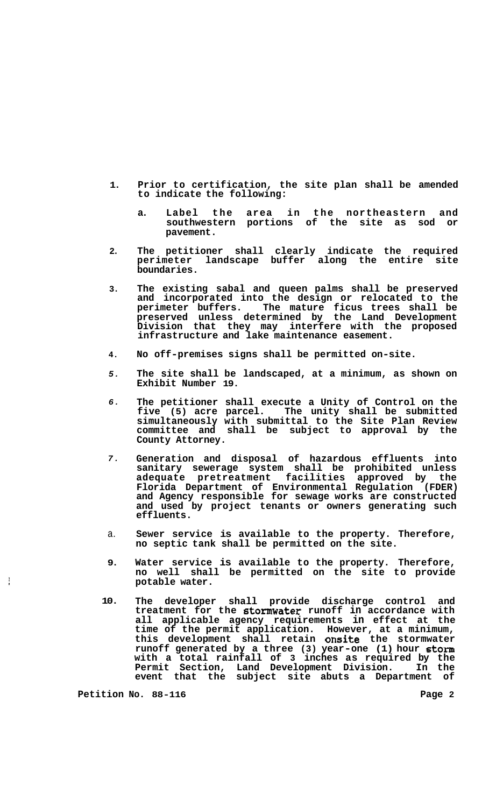- **1. Prior to certification, the site plan shall be amended to indicate the following:** 
	- **a. Label the area in the northeastern and southwestern portions of the site as sod or pavement.**
- **2. The petitioner shall clearly indicate the required perimeter landscape buffer along the entire site boundaries.**
- **3. The existing sabal and queen palms shall be preserved and incorporated into the design or relocated to the perimeter buffers. The mature ficus trees shall be preserved unless determined by the Land Development Division that they may interfere with the proposed infrastructure and lake maintenance easement.**
- **4. No off-premises signs shall be permitted on-site.**
- *5.*  **The site shall be landscaped, at a minimum, as shown on Exhibit Number 19.**
- *6.*  **The petitioner shall execute a Unity of Control on the five (5) acre parcel. The unity shall be submitted simultaneously with submittal to the Site Plan Review committee and shall be subject to approval by the County Attorney.**
- *7.*  **Generation and disposal of hazardous effluents into sanitary sewerage system shall be prohibited unless adequate pretreatment facilities approved by the Florida Department of Environmental Regulation (FDER) and Agency responsible for sewage works are constructed and used by project tenants or owners generating such effluents.**
- a. **Sewer service is available to the property. Therefore, no septic tank shall be permitted on the site.**
- **9. Water service is available to the property. Therefore, no well shall be permitted on the site to provide potable water.**
- **10. The developer shall provide discharge control and treatment for the stomwater runoff in accordance with all applicable agency requirements in effect at the time of the permit application. However, at a minimum, this development shall retain onsite the stormwater runoff generated by a three (3) year-one (1) hour stom with a total rainfall of 3 inches as required by the Permit Section, Land Development Division. In the event that the subject site abuts a Department of**

Petition No. 88-116 **Page 2 Page 2** 

 $\frac{1}{t}$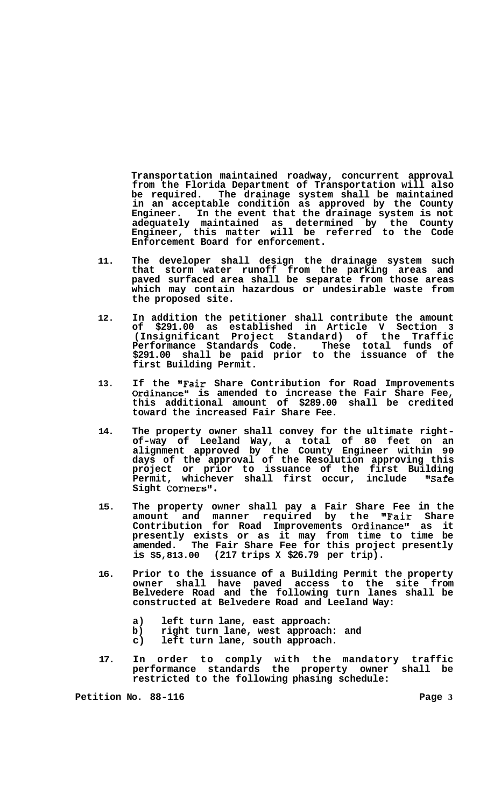**Transportation maintained roadway, concurrent approval from the Florida Department of Transportation will also**  The drainage system shall be maintained **in an acceptable condition as approved by the County Engineer. In the event that the drainage system is not adequately maintained as determined by the County Engineer, this matter will be referred to the Code Enforcement Board for enforcement.** 

- **11. The developer shall design the drainage system such that storm water runoff from the parking areas and paved surfaced area shall be separate from those areas which may contain hazardous or undesirable waste from the proposed site.**
- **12. In addition the petitioner shall contribute the amount of \$291.00 as established in Article V Section 3 (Insignificant Project Standard) of the Traffic Performance Standards Code. These total funds of \$291.00 shall be paid prior to the issuance of the first Building Permit.**
- **13. If the "Fair Share Contribution for Road Improvements Ordinance" is amended to increase the Fair Share Fee, this additional amount of \$289.00 shall be credited toward the increased Fair Share Fee.**
- **14. The property owner shall convey for the ultimate right- of-way of Leeland Way, a total of 80 feet on an alignment approved by the County Engineer within 90 days of the approval of the Resolution approving this project or prior to issuance of the first Building Permit, whichever shall first occur, include "Safe Sight Corners".**
- **15. The property owner shall pay a Fair Share Fee in the amount and manner required by the "Fair Share**  Contribution for Road Improvements Ordinance" as it **presently exists or as it may from time to time be amended. The Fair Share Fee for this project presently is \$5,813.00 (217 trips X \$26.79 per trip).**
- **16. Prior to the issuance of a Building Permit the property owner shall have paved access to the site from Belvedere Road and the following turn lanes shall be constructed at Belvedere Road and Leeland Way:** 
	- **a) left turn lane, east approach:**
	- **b) right turn lane, west approach: and**
	- **c) left turn lane, south approach.**
- **17. In order to comply with the mandatory traffic performance standards the property owner shall be restricted to the following phasing schedule:**

**Petition No. 88-116** Page 3